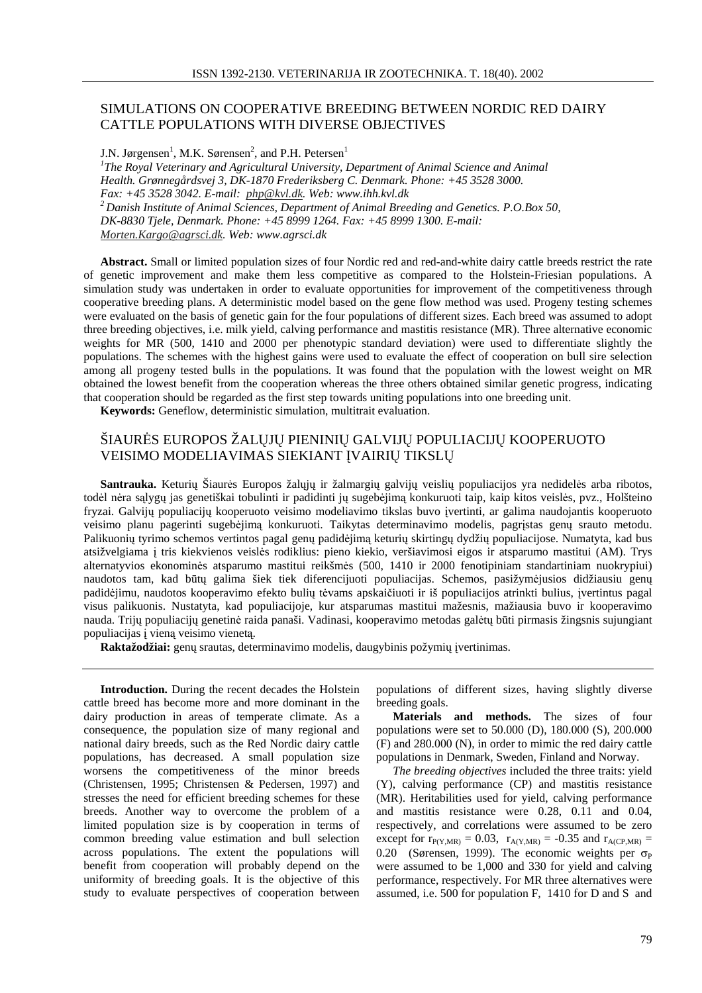## SIMULATIONS ON COOPERATIVE BREEDING BETWEEN NORDIC RED DAIRY CATTLE POPULATIONS WITH DIVERSE OBJECTIVES

J.N. Jørgensen<sup>1</sup>, M.K. Sørensen<sup>2</sup>, and P.H. Petersen<sup>1</sup> *1 The Royal Veterinary and Agricultural University, Department of Animal Science and Animal Health. Grønnegårdsvej 3, DK-1870 Frederiksberg C. Denmark. Phone: +45 3528 3000. Fax: +45 3528 3042. E-mail: php@kvl.dk. Web: www.ihh.kvl.dk <sup>2</sup> Danish Institute of Animal Sciences, Department of Animal Breeding and Genetics. P.O.Box 50, DK-8830 Tjele, Denmark. Phone: +45 8999 1264. Fax: +45 8999 1300. E-mail: Morten.Kargo@agrsci.dk. Web: www.agrsci.dk*

**Abstract.** Small or limited population sizes of four Nordic red and red-and-white dairy cattle breeds restrict the rate of genetic improvement and make them less competitive as compared to the Holstein-Friesian populations. A simulation study was undertaken in order to evaluate opportunities for improvement of the competitiveness through cooperative breeding plans. A deterministic model based on the gene flow method was used. Progeny testing schemes were evaluated on the basis of genetic gain for the four populations of different sizes. Each breed was assumed to adopt three breeding objectives, i.e. milk yield, calving performance and mastitis resistance (MR). Three alternative economic weights for MR (500, 1410 and 2000 per phenotypic standard deviation) were used to differentiate slightly the populations. The schemes with the highest gains were used to evaluate the effect of cooperation on bull sire selection among all progeny tested bulls in the populations. It was found that the population with the lowest weight on MR obtained the lowest benefit from the cooperation whereas the three others obtained similar genetic progress, indicating that cooperation should be regarded as the first step towards uniting populations into one breeding unit.

**Keywords:** Geneflow, deterministic simulation, multitrait evaluation.

## ŠIAURĖS EUROPOS ŽALŲJŲ PIENINIŲ GALVIJŲ POPULIACIJŲ KOOPERUOTO VEISIMO MODELIAVIMAS SIEKIANT ĮVAIRIŲ TIKSLŲ

**Santrauka.** Keturių Šiaurės Europos žalųjų ir žalmargių galvijų veislių populiacijos yra nedidelės arba ribotos, todėl nėra sąlygų jas genetiškai tobulinti ir padidinti jų sugebėjimą konkuruoti taip, kaip kitos veislės, pvz., Holšteino fryzai. Galvijų populiacijų kooperuoto veisimo modeliavimo tikslas buvo įvertinti, ar galima naudojantis kooperuoto veisimo planu pagerinti sugebėjimą konkuruoti. Taikytas determinavimo modelis, pagrįstas genų srauto metodu. Palikuonių tyrimo schemos vertintos pagal genų padidėjimą keturių skirtingų dydžių populiacijose. Numatyta, kad bus atsižvelgiama į tris kiekvienos veislės rodiklius: pieno kiekio, veršiavimosi eigos ir atsparumo mastitui (AM). Trys alternatyvios ekonominės atsparumo mastitui reikšmės (500, 1410 ir 2000 fenotipiniam standartiniam nuokrypiui) naudotos tam, kad būtų galima šiek tiek diferencijuoti populiacijas. Schemos, pasižymėjusios didžiausiu genų padidėjimu, naudotos kooperavimo efekto bulių tėvams apskaičiuoti ir iš populiacijos atrinkti bulius, įvertintus pagal visus palikuonis. Nustatyta, kad populiacijoje, kur atsparumas mastitui mažesnis, mažiausia buvo ir kooperavimo nauda. Trijų populiacijų genetinė raida panaši. Vadinasi, kooperavimo metodas galėtų būti pirmasis žingsnis sujungiant populiacijas į vieną veisimo vienetą.

**Raktažodžiai:** genų srautas, determinavimo modelis, daugybinis požymių įvertinimas.

**Introduction.** During the recent decades the Holstein cattle breed has become more and more dominant in the dairy production in areas of temperate climate. As a consequence, the population size of many regional and national dairy breeds, such as the Red Nordic dairy cattle populations, has decreased. A small population size worsens the competitiveness of the minor breeds (Christensen, 1995; Christensen & Pedersen, 1997) and stresses the need for efficient breeding schemes for these breeds. Another way to overcome the problem of a limited population size is by cooperation in terms of common breeding value estimation and bull selection across populations. The extent the populations will benefit from cooperation will probably depend on the uniformity of breeding goals. It is the objective of this study to evaluate perspectives of cooperation between

populations of different sizes, having slightly diverse breeding goals.

**Materials and methods.** The sizes of four populations were set to 50.000 (D), 180.000 (S), 200.000 (F) and 280.000 (N), in order to mimic the red dairy cattle populations in Denmark, Sweden, Finland and Norway.

*The breeding objectives* included the three traits: yield (Y), calving performance (CP) and mastitis resistance (MR). Heritabilities used for yield, calving performance and mastitis resistance were 0.28, 0.11 and 0.04, respectively, and correlations were assumed to be zero except for  $r_{P(Y,MR)} = 0.03$ ,  $r_{A(Y,MR)} = -0.35$  and  $r_{A(CP,MR)} =$ 0.20 (Sørensen, 1999). The economic weights per  $\sigma_{\rm P}$ were assumed to be 1,000 and 330 for yield and calving performance, respectively. For MR three alternatives were assumed, i.e. 500 for population F, 1410 for D and S and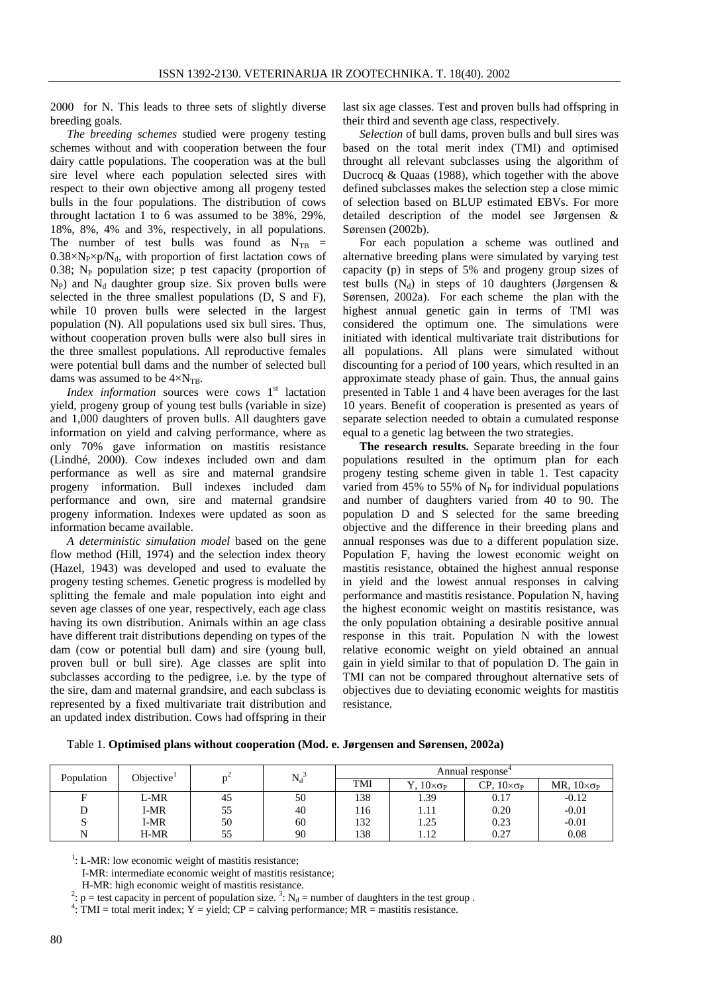2000 for N. This leads to three sets of slightly diverse breeding goals.

*The breeding schemes* studied were progeny testing schemes without and with cooperation between the four dairy cattle populations. The cooperation was at the bull sire level where each population selected sires with respect to their own objective among all progeny tested bulls in the four populations. The distribution of cows throught lactation 1 to 6 was assumed to be 38%, 29%, 18%, 8%, 4% and 3%, respectively, in all populations. The number of test bulls was found as  $N_{TB}$  =  $0.38 \times N_P \times p/N_d$ , with proportion of first lactation cows of 0.38;  $N_P$  population size; p test capacity (proportion of  $N_P$ ) and  $N_d$  daughter group size. Six proven bulls were selected in the three smallest populations (D, S and F), while 10 proven bulls were selected in the largest population (N). All populations used six bull sires. Thus, without cooperation proven bulls were also bull sires in the three smallest populations. All reproductive females were potential bull dams and the number of selected bull dams was assumed to be  $4 \times N_{TR}$ .

Index information sources were cows 1<sup>st</sup> lactation yield, progeny group of young test bulls (variable in size) and 1,000 daughters of proven bulls. All daughters gave information on yield and calving performance, where as only 70% gave information on mastitis resistance (Lindhé, 2000). Cow indexes included own and dam performance as well as sire and maternal grandsire progeny information. Bull indexes included dam performance and own, sire and maternal grandsire progeny information. Indexes were updated as soon as information became available.

*A deterministic simulation model* based on the gene flow method (Hill, 1974) and the selection index theory (Hazel, 1943) was developed and used to evaluate the progeny testing schemes. Genetic progress is modelled by splitting the female and male population into eight and seven age classes of one year, respectively, each age class having its own distribution. Animals within an age class have different trait distributions depending on types of the dam (cow or potential bull dam) and sire (young bull, proven bull or bull sire). Age classes are split into subclasses according to the pedigree, i.e. by the type of the sire, dam and maternal grandsire, and each subclass is represented by a fixed multivariate trait distribution and an updated index distribution. Cows had offspring in their

last six age classes. Test and proven bulls had offspring in their third and seventh age class, respectively.

*Selection* of bull dams, proven bulls and bull sires was based on the total merit index (TMI) and optimised throught all relevant subclasses using the algorithm of Ducrocq & Quaas (1988), which together with the above defined subclasses makes the selection step a close mimic of selection based on BLUP estimated EBVs. For more detailed description of the model see Jørgensen & Sørensen (2002b).

For each population a scheme was outlined and alternative breeding plans were simulated by varying test capacity (p) in steps of 5% and progeny group sizes of test bulls ( $N_d$ ) in steps of 10 daughters (Jørgensen & Sørensen, 2002a). For each scheme the plan with the highest annual genetic gain in terms of TMI was considered the optimum one. The simulations were initiated with identical multivariate trait distributions for all populations. All plans were simulated without discounting for a period of 100 years, which resulted in an approximate steady phase of gain. Thus, the annual gains presented in Table 1 and 4 have been averages for the last 10 years. Benefit of cooperation is presented as years of separate selection needed to obtain a cumulated response equal to a genetic lag between the two strategies.

**The research results.** Separate breeding in the four populations resulted in the optimum plan for each progeny testing scheme given in table 1. Test capacity varied from 45% to 55% of  $N_{\rm P}$  for individual populations and number of daughters varied from 40 to 90. The population D and S selected for the same breeding objective and the difference in their breeding plans and annual responses was due to a different population size. Population F, having the lowest economic weight on mastitis resistance, obtained the highest annual response in yield and the lowest annual responses in calving performance and mastitis resistance. Population N, having the highest economic weight on mastitis resistance, was the only population obtaining a desirable positive annual response in this trait. Population N with the lowest relative economic weight on yield obtained an annual gain in yield similar to that of population D. The gain in TMI can not be compared throughout alternative sets of objectives due to deviating economic weights for mastitis resistance.

Table 1. **Optimised plans without cooperation (Mod. e. Jørgensen and Sørensen, 2002a)**

| Population | Objective <sup>1</sup> |    |       |     |                                       | Annual response             |                                |
|------------|------------------------|----|-------|-----|---------------------------------------|-----------------------------|--------------------------------|
|            |                        |    | $N_d$ | TMI | $\Gamma$ , $10 \times \sigma_{\rm P}$ | $CP$ , $10 \times \sigma_P$ | MR, $10 \times \sigma_{\rm P}$ |
|            | L-MR                   | 45 | 50    | 138 | 1.39                                  | 0.17                        | $-0.12$                        |
|            | I-MR                   | 55 | 40    | 116 | 1.11                                  | 0.20                        | $-0.01$                        |
| S          | I-MR                   | 50 | 60    | 132 | 1.25                                  | 0.23                        | $-0.01$                        |
| N          | H-MR                   | 55 | 90    | 138 | 1.12                                  | 0.27                        | 0.08                           |

<sup>1</sup>: L-MR: low economic weight of mastitis resistance;

I-MR: intermediate economic weight of mastitis resistance;

H-MR: high economic weight of mastitis resistance.

<sup>2</sup>:  $p =$  test capacity in percent of population size.<sup>3</sup>: N<sub>d</sub> = number of daughters in the test group.

 $4$ : TMI = total merit index; Y = yield; CP = calving performance; MR = mastitis resistance.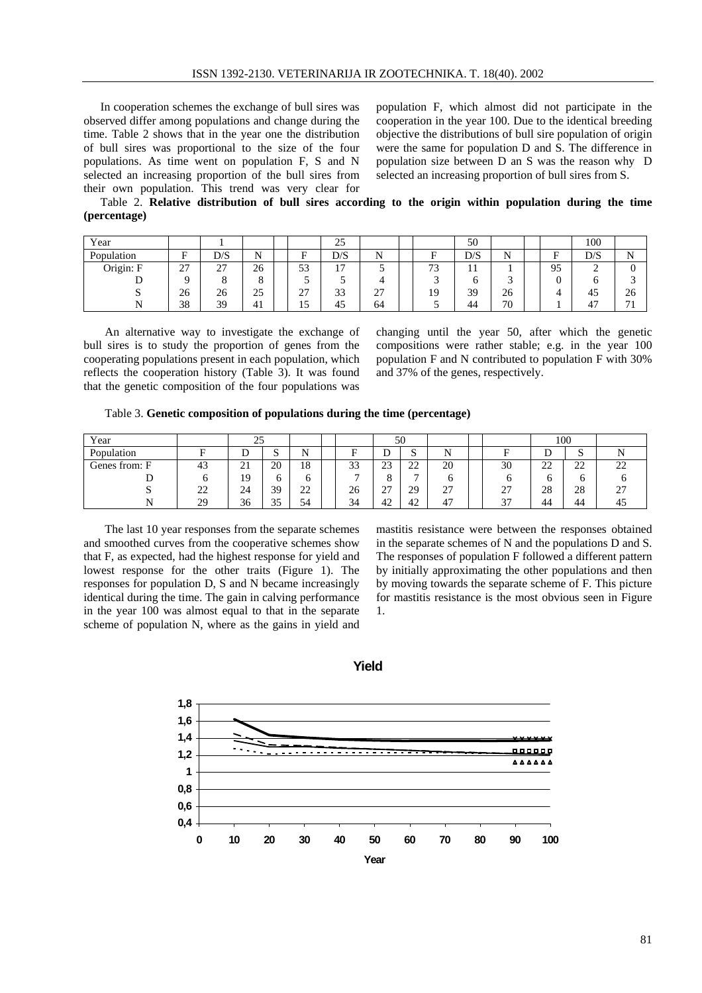In cooperation schemes the exchange of bull sires was observed differ among populations and change during the time. Table 2 shows that in the year one the distribution of bull sires was proportional to the size of the four populations. As time went on population F, S and N selected an increasing proportion of the bull sires from their own population. This trend was very clear for population F, which almost did not participate in the cooperation in the year 100. Due to the identical breeding objective the distributions of bull sire population of origin were the same for population D and S. The difference in population size between D an S was the reason why D selected an increasing proportion of bull sires from S.

Table 2. **Relative distribution of bull sires according to the origin within population during the time (percentage)**

| Year       |               |     |          |          | 25             |             |                     | 50  |        |    | 100 |                          |
|------------|---------------|-----|----------|----------|----------------|-------------|---------------------|-----|--------|----|-----|--------------------------|
| Population | Е             | D/S | N<br>. . | Ē        | D/S            | N           | ∽                   | D/S | N      | Е  | D/S | N<br>T.                  |
| Origin: F  | $\sim$<br>ا ت | 27  | 26       | 53       | $\overline{ }$ |             | $\mathbf{a}$<br>ر ، | . . |        | 95 | ∽   |                          |
|            |               |     |          | ◡        |                |             |                     | υ   | ∽<br>ی |    |     |                          |
| ມ          | 26            | 26  | 25       | דר<br>∠≀ | 33             | $\sim$<br>∼ | 19                  | 39  | 26     |    | 45  | 26                       |
|            | 38            | 39  | 41       | 10       | 45             | 64          | ັ                   | 44  | 70     |    | 47  | $\overline{\phantom{a}}$ |

An alternative way to investigate the exchange of bull sires is to study the proportion of genes from the cooperating populations present in each population, which reflects the cooperation history (Table 3). It was found that the genetic composition of the four populations was changing until the year 50, after which the genetic compositions were rather stable; e.g. in the year 100 population F and N contributed to population F with 30% and 37% of the genes, respectively.

Table 3. **Genetic composition of populations during the time (percentage)**

| Year                            |    | 25                       |             |                     | 50           |           |                |             |  |    | 100     |          |           |
|---------------------------------|----|--------------------------|-------------|---------------------|--------------|-----------|----------------|-------------|--|----|---------|----------|-----------|
| Population                      | г  | ⊥                        | $\sim$<br>ມ | N                   | D            | ◡         | ມ              | N           |  | D  | ◡       | C<br>ມ   |           |
| $\blacksquare$<br>Genes from: F | 43 | $^{\circ}$ 1<br>$\sim$ 1 | 20          | 18                  | $\sim$<br>33 | 23        | $\sim$<br>∼    | 20          |  | 30 | າາ<br>∸ | າາ<br>∠∠ | າາ<br>∠∠  |
|                                 | n  | 19                       |             |                     | -            |           | $\overline{ }$ | O           |  |    |         | O        | υ         |
|                                 | 22 | 24                       | 39          | $\mathcal{D}$<br>∠∠ | 26           | 27<br>، ت | 29             | $\sim$<br>∠ |  | 27 | 28      | 28       | רר<br>ا ک |
|                                 | 29 | 36                       | 25<br>JJ    | 54                  | 34           | 42        | 42             | 47          |  | 37 | 44      | 44       | 45        |

The last 10 year responses from the separate schemes and smoothed curves from the cooperative schemes show that F, as expected, had the highest response for yield and lowest response for the other traits (Figure 1). The responses for population D, S and N became increasingly identical during the time. The gain in calving performance in the year 100 was almost equal to that in the separate scheme of population N, where as the gains in yield and

mastitis resistance were between the responses obtained in the separate schemes of N and the populations D and S. The responses of population F followed a different pattern by initially approximating the other populations and then by moving towards the separate scheme of F. This picture for mastitis resistance is the most obvious seen in Figure 1.



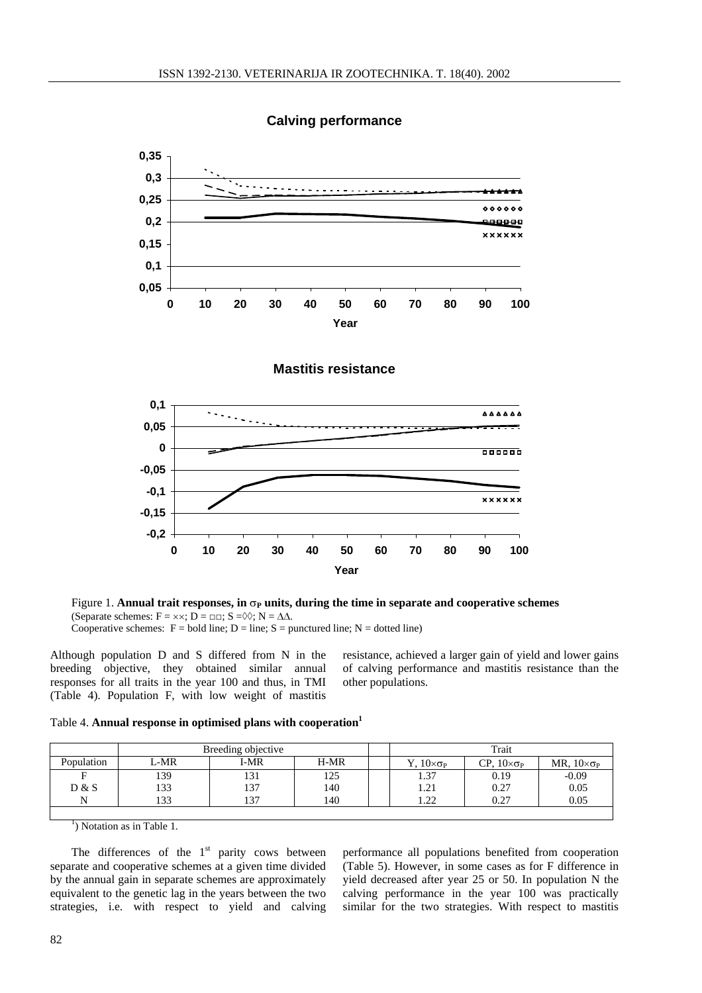

**Calving performance**





Figure 1. **Annual trait responses, in**  $\sigma_{\rm P}$  **units, during the time in separate and cooperative schemes** (Separate schemes:  $F = \times \times$ ;  $D = \Box \Box$ ;  $S = \Diamond \Diamond$ ;  $N = \Delta \Delta$ . Cooperative schemes:  $F = \text{bold line}$ ;  $D = \text{line}$ ;  $S = \text{punctured line}$ ;  $N = \text{dotted line}$ )

Although population D and S differed from N in the breeding objective, they obtained similar annual responses for all traits in the year 100 and thus, in TMI (Table 4). Population F, with low weight of mastitis

resistance, achieved a larger gain of yield and lower gains of calving performance and mastitis resistance than the other populations.

| Table 4. Annual response in optimised plans with cooperation <sup>1</sup> |  |  |  |
|---------------------------------------------------------------------------|--|--|--|

|            |      | Breeding objective |      | Trait                       |                             |                          |  |  |  |  |
|------------|------|--------------------|------|-----------------------------|-----------------------------|--------------------------|--|--|--|--|
| Population | L-MR | I-MR               | H-MR | $\ldots 10 \times \sigma_P$ | $CP$ , $10 \times \sigma_P$ | MR, $10 \times \sigma_P$ |  |  |  |  |
| Е          | 139  | 131                | 125  | 1.37                        | 0.19                        | $-0.09$                  |  |  |  |  |
| D & S      | 133  | 137                | 140  | 1.21                        | 0.27                        | 0.05                     |  |  |  |  |
| N          | 133  | 137                | 140  | 1.22                        | 0.27                        | 0.05                     |  |  |  |  |
|            |      |                    |      |                             |                             |                          |  |  |  |  |

<sup>1</sup>) Notation as in Table 1.

The differences of the  $1<sup>st</sup>$  parity cows between separate and cooperative schemes at a given time divided by the annual gain in separate schemes are approximately equivalent to the genetic lag in the years between the two strategies, i.e. with respect to yield and calving

performance all populations benefited from cooperation (Table 5). However, in some cases as for F difference in yield decreased after year 25 or 50. In population N the calving performance in the year 100 was practically similar for the two strategies. With respect to mastitis